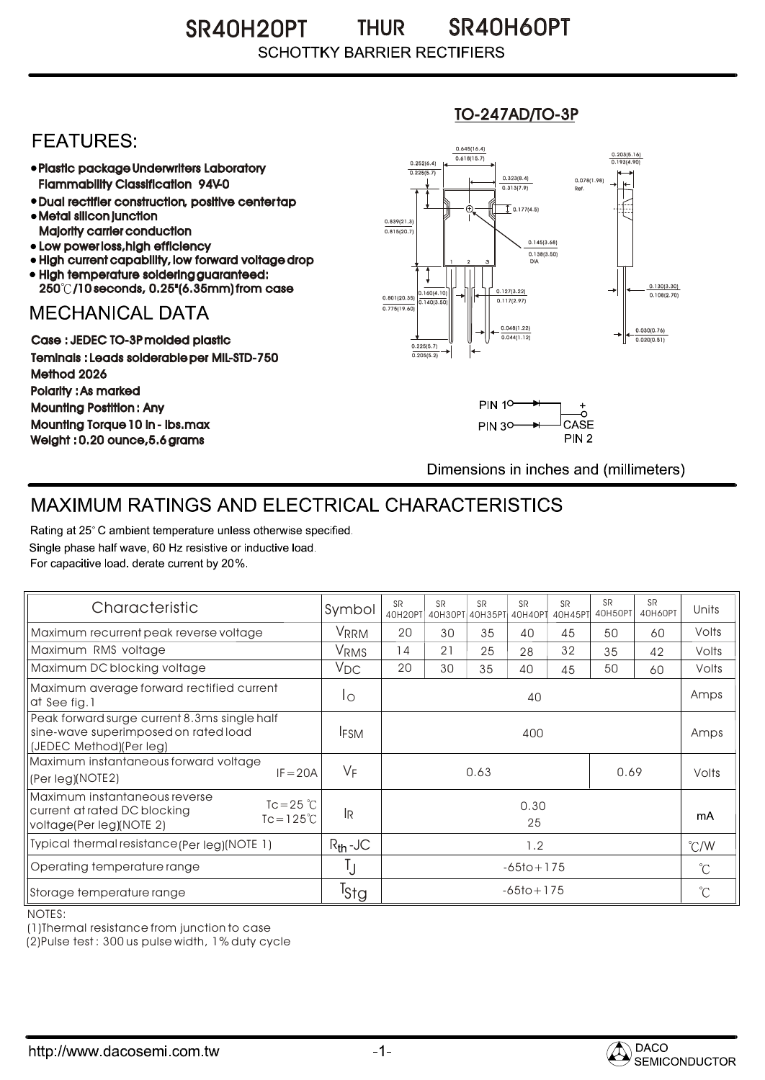SR40H20PT SR40H60PT THUR **SCHOTTKY BARRIER RECTIFIERS** 

## **FEATURES:**

- Plastic package Underwriters Laboratory Flammability Classification 94V-0
- Dual rectifier construction, positive center tap Metal silicon junction
- Majority carrier conduction
- Low power loss, high efficiency High current capability, low forward voltage drop
- High temperature soldering guaranteed:
- 250 /10 seconds, 0.25"(6.35mm) from case

## **MECHANICAL DATA**

Case : JEDEC TO-3P molded plastic Teminals : Leads solderable per MIL-STD-750 Method 2026 Polarity : As marked Mounting Postition : Any Mounting Torque 10 in - lbs.max Weight : 0.20 ounce,5.6 grams

#### 0.160(4.10)  $0.140(3)$ 0.127(3.22) 0.117(2.97) 0.030(0.76) 0.020(0.51) 0.801(20.35) 0.138(3.50) 0.145(3.68) 0.775(19.60) 0.839(21.3)<br>0.815(20.7) 0.252(6.4) 0.225(5.7)  $0.618(15.7)$ 0.645(16.4) 0.203(5.16) 0.193(4.90) 1 2 3 DIA  $\overline{1}$  0.177(4.5) 0.078(1.98) Ref. 0.130(3.30)<br>0.108(2.70) 0.225(5.7) 0.205(5.2)  $0.313(7.9)$ 0.323(8.4) 0.048(1.22) 0.044(1.12)

TO-247AD/TO-3P



Dimensions in inches and (millimeters)

# MAXIMUM RATINGS AND ELECTRICAL CHARACTERISTICS

Rating at 25° C ambient temperature unless otherwise specified. Single phase half wave, 60 Hz resistive or inductive load. For capacitive load, derate current by 20%.

| Characteristic                                                                                                                            | Symbol           | <b>SR</b><br>40H20PT | <b>SR</b> | <b>SR</b><br>40H30PT 40H35PT | <b>SR</b><br>40H40PT | <b>SR</b><br>40H45PT | <b>SR</b><br>40H50PT | <b>SR</b><br>40H60PT | Units         |
|-------------------------------------------------------------------------------------------------------------------------------------------|------------------|----------------------|-----------|------------------------------|----------------------|----------------------|----------------------|----------------------|---------------|
| Maximum recurrent peak reverse voltage                                                                                                    | VRRM             | 20                   | 30        | 35                           | 40                   | 45                   | 50                   | 60                   | Volts         |
| Maximum RMS voltage                                                                                                                       | V <sub>RMS</sub> | 14                   | 21        | 25                           | 28                   | 32                   | 35                   | 42                   | Volts         |
| Maximum DC blocking voltage                                                                                                               | $V_{DC}$         | 20                   | 30        | 35                           | 40                   | 45                   | 50                   | 60                   | Volts         |
| Maximum average forward rectified current<br>at See fig.1                                                                                 | $1^{\circ}$      | 40                   |           |                              |                      |                      |                      |                      | Amps          |
| Peak forward surge current 8.3ms single half<br>sine-wave superimposed on rated load<br>(JEDEC Method)(Per leg)                           | <b>IFSM</b>      | 400                  |           |                              |                      |                      |                      |                      | Amps          |
| Maximum instantaneous forward voltage<br>$IF = 20A$<br>(Per leg)(NOTE2)                                                                   | VF               | 0.63<br>0.69         |           |                              |                      |                      |                      | Volts                |               |
| Maximum instantaneous reverse<br>$Tc = 25$ $\degree$ C<br>current at rated DC blocking<br>$Tc = 125^{\circ}C$<br>voltage(Per leg)(NOTE 2) | lR.              | 0.30<br>25           |           |                              |                      |                      |                      |                      | mA            |
| Typical thermal resistance (Per leg) (NOTE 1)                                                                                             | $R_{th}$ -JC     | 1.2                  |           |                              |                      |                      |                      |                      | $\degree$ C/W |
| Operating temperature range                                                                                                               |                  | $-65$ to + 175       |           |                              |                      |                      | $^{\circ}C$          |                      |               |
| Storage temperature range                                                                                                                 | <sup>I</sup> Stg | $-65$ to + 175       |           |                              |                      |                      |                      | $^{\circ}$ C         |               |

NOTES:

(1)Thermal resistance from junction to case

(2)Pulse test : 300 us pulse width, 1% duty cycle